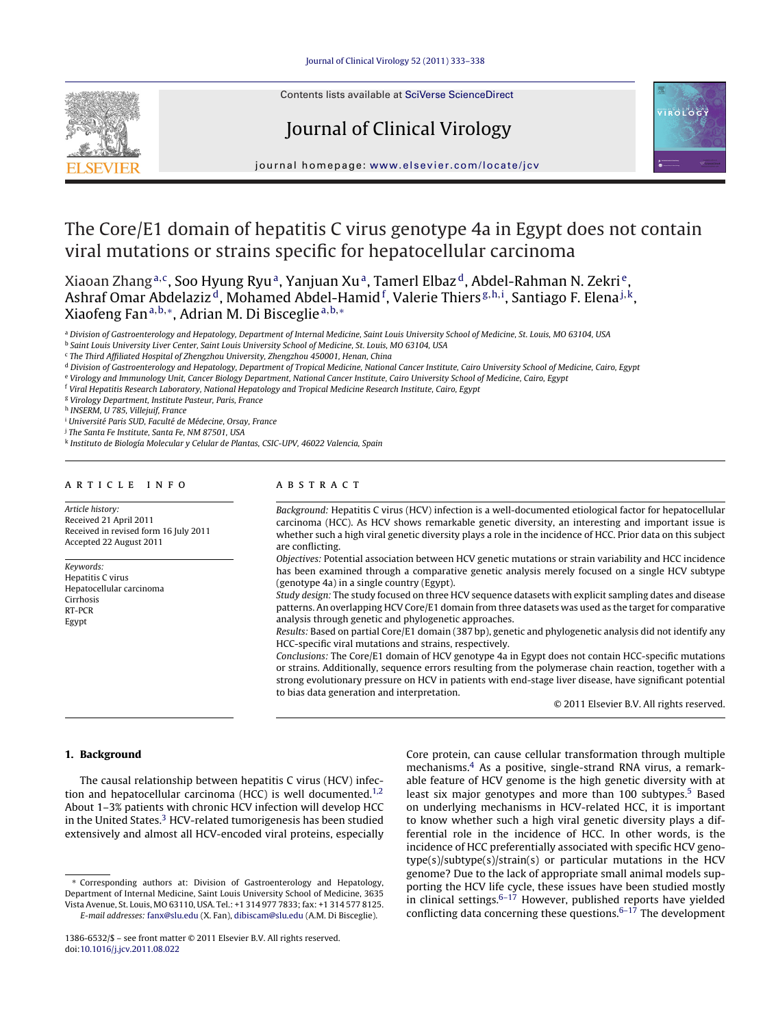Contents lists available at SciVerse [ScienceDirect](http://www.sciencedirect.com/science/journal/13866532)

# Journal of Clinical Virology



iournal homepage: www.elsevier.com/locate/icv

## The Core/E1 domain of hepatitis C virus genotype 4a in Egypt does not contain viral mutations or strains specific for hepatocellular carcinoma

Xiaoan Zhang<sup>a,c</sup>, Soo Hyung Ryu<sup>a</sup>, Yanjuan Xu<sup>a</sup>, Tamerl Elbaz<sup>d</sup>, Abdel-Rahman N. Zekri<sup>e</sup>, Ashraf Omar Abdelaziz<sup>d</sup>, Mohamed Abdel-Hamid <sup>f</sup>, Valerie Thiers <sup>g,h,i</sup>, Santiago F. Elena <sup>j,k</sup>, Xiaofeng Fan<sup>a,b,∗</sup>, Adrian M. Di Bisceglie<sup>a,b,∗</sup>

a Division of Gastroenterology and Hepatology, Department of Internal Medicine, Saint Louis University School of Medicine, St. Louis, MO 63104, USA

b Saint Louis University Liver Center, Saint Louis University School of Medicine, St. Louis, MO 63104, USA

<sup>c</sup> The Third Affiliated Hospital of Zhengzhou University, Zhengzhou 450001, Henan, China

<sup>d</sup> Division of Gastroenterology and Hepatology, Department of Tropical Medicine, National Cancer Institute, Cairo University School of Medicine, Cairo, Egypt

<sup>e</sup> Virology and Immunology Unit, Cancer Biology Department, National Cancer Institute, Cairo University School of Medicine, Cairo, Egypt

<sup>f</sup> Viral Hepatitis Research Laboratory, National Hepatology and Tropical Medicine Research Institute, Cairo, Egypt

<sup>g</sup> Virology Department, Institute Pasteur, Paris, France

<sup>h</sup> INSERM, U 785, Villejuif, France

<sup>i</sup> Université Paris SUD, Faculté de Médecine, Orsay, France

<sup>j</sup> The Santa Fe Institute, Santa Fe, NM 87501, USA

<sup>k</sup> Instituto de Biología Molecular y Celular de Plantas, CSIC-UPV, 46022 Valencia, Spain

## ARTICLE INFO

Article history: Received 21 April 2011 Received in revised form 16 July 2011 Accepted 22 August 2011

Keywords: Hepatitis C virus Hepatocellular carcinoma Cirrhosis RT-PCR Egypt

## A B S T R A C T

Background: Hepatitis C virus (HCV) infection is a well-documented etiological factor for hepatocellular carcinoma (HCC). As HCV shows remarkable genetic diversity, an interesting and important issue is whether such a high viral genetic diversity plays a role in the incidence of HCC. Prior data on this subject are conflicting.

Objectives: Potential association between HCV genetic mutations or strain variability and HCC incidence has been examined through a comparative genetic analysis merely focused on a single HCV subtype (genotype 4a) in a single country (Egypt).

Study design: The study focused on three HCV sequence datasets with explicit sampling dates and disease patterns. An overlapping HCV Core/E1 domain from three datasets was used as the target for comparative analysis through genetic and phylogenetic approaches.

Results: Based on partial Core/E1 domain (387 bp), genetic and phylogenetic analysis did not identify any HCC-specific viral mutations and strains, respectively.

Conclusions: The Core/E1 domain of HCV genotype 4a in Egypt does not contain HCC-specific mutations or strains. Additionally, sequence errors resulting from the polymerase chain reaction, together with a strong evolutionary pressure on HCV in patients with end-stage liver disease, have significant potential to bias data generation and interpretation.

© 2011 Elsevier B.V. All rights reserved.

## **1. Background**

The causal relationship between hepatitis C virus (HCV) infection and hepatocellular carcinoma (HCC) is well documented.<sup>1,2</sup> About 1–3% patients with chronic HCV infection will develop HCC in the United States.<sup>3</sup> HCV-related tumorigenesis has been studied extensively and almost all HCV-encoded viral proteins, especially

∗ Corresponding authors at: Division of Gastroenterology and Hepatology, Department of Internal Medicine, Saint Louis University School of Medicine, 3635 Vista Avenue, St. Louis, MO 63110, USA. Tel.: +1 314 977 7833; fax: +1 314 577 8125. E-mail addresses: [fanx@slu.edu](mailto:fanx@slu.edu) (X. Fan), [dibiscam@slu.edu](mailto:dibiscam@slu.edu) (A.M. Di Bisceglie).

Core protein, can cause cellular transformation through multiple mechanisms[.4](#page-4-0) As a positive, single-strand RNA virus, a remarkable feature of HCV genome is the high genetic diversity with at least six major genotypes and more than 100 subtypes.<sup>[5](#page-4-0)</sup> Based on underlying mechanisms in HCV-related HCC, it is important to know whether such a high viral genetic diversity plays a differential role in the incidence of HCC. In other words, is the incidence of HCC preferentially associated with specific HCV genotype(s)/subtype(s)/strain(s) or particular mutations in the HCV genome? Due to the lack of appropriate small animal models supporting the HCV life cycle, these issues have been studied mostly in clinical settings. $6-17$  However, published reports have yielded conflicting data concerning these questions. $6-17$  The development

<sup>1386-6532/\$</sup> – see front matter © 2011 Elsevier B.V. All rights reserved. doi:[10.1016/j.jcv.2011.08.022](dx.doi.org/10.1016/j.jcv.2011.08.022)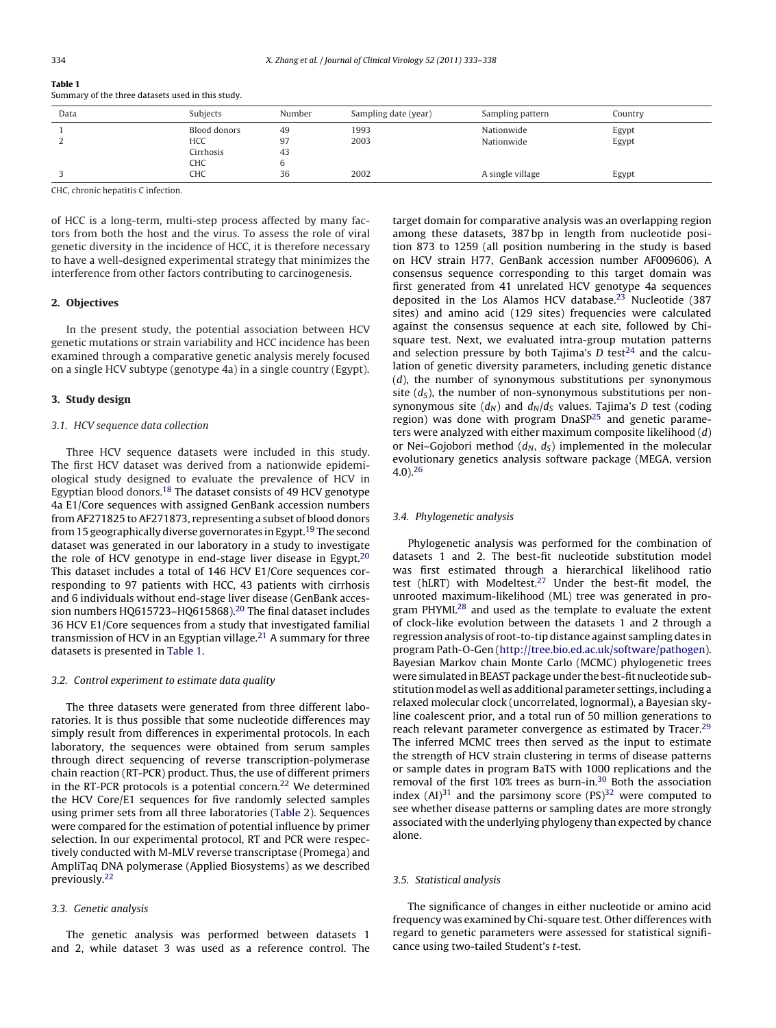| Summary of the three datasets used in this study. |  |
|---------------------------------------------------|--|
|                                                   |  |

| Data | Subjects     | Number | Sampling date (year) | Sampling pattern | Country |
|------|--------------|--------|----------------------|------------------|---------|
|      | Blood donors | 49     | 1993                 | Nationwide       | Egypt   |
|      | HCC          | 97     | 2003                 | Nationwide       | Egypt   |
|      | Cirrhosis    | 43     |                      |                  |         |
|      | CHC          |        |                      |                  |         |
|      | CHC          | 36     | 2002                 | A single village | Egypt   |

CHC, chronic hepatitis C infection.

of HCC is a long-term, multi-step process affected by many factors from both the host and the virus. To assess the role of viral genetic diversity in the incidence of HCC, it is therefore necessary to have a well-designed experimental strategy that minimizes the interference from other factors contributing to carcinogenesis.

## **2. Objectives**

In the present study, the potential association between HCV genetic mutations or strain variability and HCC incidence has been examined through a comparative genetic analysis merely focused on a single HCV subtype (genotype 4a) in a single country (Egypt).

## **3. Study design**

## 3.1. HCV sequence data collection

Three HCV sequence datasets were included in this study. The first HCV dataset was derived from a nationwide epidemiological study designed to evaluate the prevalence of HCV in Egyptian blood donors.[18](#page-4-0) The dataset consists of 49 HCV genotype 4a E1/Core sequences with assigned GenBank accession numbers from AF271825 to AF271873, representing a subset of blood donors from 15 geographically diverse governorates in Egypt.<sup>[19](#page-4-0)</sup> The second dataset was generated in our laboratory in a study to investigate the role of HCV genotype in end-stage liver disease in Egypt. $20$ This dataset includes a total of 146 HCV E1/Core sequences corresponding to 97 patients with HCC, 43 patients with cirrhosis and 6 individuals without end-stage liver disease (GenBank accession numbers HQ615723-HQ615868).<sup>20</sup> The final dataset includes 36 HCV E1/Core sequences from a study that investigated familial transmission of HCV in an Egyptian village.<sup>[21](#page-4-0)</sup> A summary for three datasets is presented in Table 1.

## 3.2. Control experiment to estimate data quality

The three datasets were generated from three different laboratories. It is thus possible that some nucleotide differences may simply result from differences in experimental protocols. In each laboratory, the sequences were obtained from serum samples through direct sequencing of reverse transcription-polymerase chain reaction (RT-PCR) product. Thus, the use of different primers in the RT-PCR protocols is a potential concern.<sup>[22](#page-4-0)</sup> We determined the HCV Core/E1 sequences for five randomly selected samples using primer sets from all three laboratories [\(Table](#page-2-0) 2). Sequences were compared for the estimation of potential influence by primer selection. In our experimental protocol, RT and PCR were respectively conducted with M-MLV reverse transcriptase (Promega) and AmpliTaq DNA polymerase (Applied Biosystems) as we described previously.[22](#page-4-0)

## 3.3. Genetic analysis

The genetic analysis was performed between datasets 1 and 2, while dataset 3 was used as a reference control. The

target domain for comparative analysis was an overlapping region among these datasets, 387 bp in length from nucleotide position 873 to 1259 (all position numbering in the study is based on HCV strain H77, GenBank accession number AF009606). A consensus sequence corresponding to this target domain was first generated from 41 unrelated HCV genotype 4a sequences deposited in the Los Alamos HCV database.<sup>[23](#page-4-0)</sup> Nucleotide (387 sites) and amino acid (129 sites) frequencies were calculated against the consensus sequence at each site, followed by Chisquare test. Next, we evaluated intra-group mutation patterns and selection pressure by both Tajima's  $D$  test<sup>24</sup> and the calculation of genetic diversity parameters, including genetic distance (d), the number of synonymous substitutions per synonymous site  $(d<sub>s</sub>)$ , the number of non-synonymous substitutions per nonsynonymous site  $(d_N)$  and  $d_N/d_S$  values. Tajima's D test (coding region) was done with program DnaSP<sup>[25](#page-5-0)</sup> and genetic parameters were analyzed with either maximum composite likelihood  $(d)$ or Nei–Gojobori method  $(d_N, d_S)$  implemented in the molecular evolutionary genetics analysis software package (MEGA, version  $(4.0)$ <sup>[26](#page-5-0)</sup>

## 3.4. Phylogenetic analysis

Phylogenetic analysis was performed for the combination of datasets 1 and 2. The best-fit nucleotide substitution model was first estimated through a hierarchical likelihood ratio test (hLRT) with Modeltest.<sup>27</sup> Under the best-fit model, the unrooted maximum-likelihood (ML) tree was generated in program PHYM[L28](#page-5-0) and used as the template to evaluate the extent of clock-like evolution between the datasets 1 and 2 through a regression analysis of root-to-tip distance against sampling dates in program Path-O-Gen ([http://tree.bio.ed.ac.uk/software/pathogen\)](http://tree.bio.ed.ac.uk/software/pathogen). Bayesian Markov chain Monte Carlo (MCMC) phylogenetic trees were simulated in BEAST package under the best-fit nucleotide substitution model as well as additional parameter settings, including a relaxed molecular clock (uncorrelated, lognormal), a Bayesian skyline coalescent prior, and a total run of 50 million generations to reach relevant parameter convergence as estimated by Tracer.<sup>29</sup> The inferred MCMC trees then served as the input to estimate the strength of HCV strain clustering in terms of disease patterns or sample dates in program BaTS with 1000 replications and the removal of the first 10% trees as burn-in.<sup>30</sup> Both the association index  $(Al)^{31}$  $(Al)^{31}$  $(Al)^{31}$  and the parsimony score  $(PS)^{32}$  $(PS)^{32}$  $(PS)^{32}$  were computed to see whether disease patterns or sampling dates are more strongly associated with the underlying phylogeny than expected by chance alone.

## 3.5. Statistical analysis

The significance of changes in either nucleotide or amino acid frequency was examined by Chi-square test. Other differences with regard to genetic parameters were assessed for statistical significance using two-tailed Student's t-test.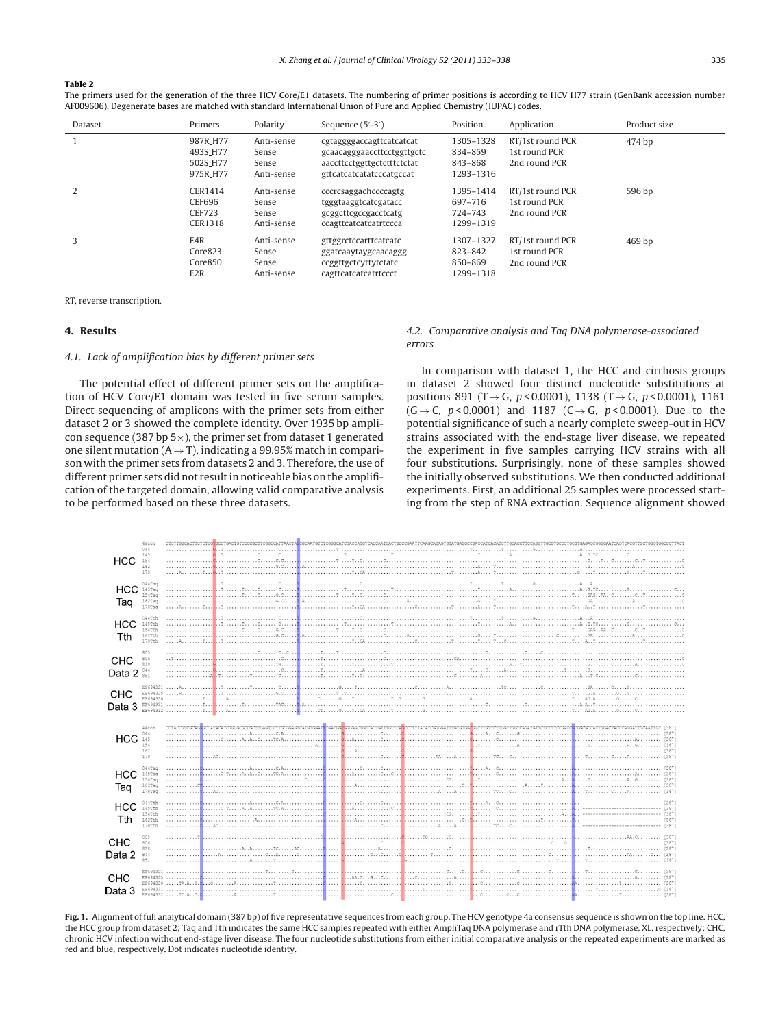#### <span id="page-2-0"></span>**Table 2**

The primers used for the generation of the three HCV Core/E1 datasets. The numbering of primer positions is according to HCV H77 strain (GenBank accession number AF009606). Degenerate bases are matched with standard International Union of Pure and Applied Chemistry (IUPAC) codes.

| Dataset | Primers                                                  | Polarity                                   | Sequence (5'-3')                                                                                                 | Position                                     | Application                                        | Product size      |
|---------|----------------------------------------------------------|--------------------------------------------|------------------------------------------------------------------------------------------------------------------|----------------------------------------------|----------------------------------------------------|-------------------|
|         | 987R_H77<br>493S_H77<br>502S_H77<br>975R <sub>-H77</sub> | Anti-sense<br>Sense<br>Sense<br>Anti-sense | cgtaggggaccagttcatcatcat<br>gcaacagggaaccttcctggttgctc<br>aaccttcctggttgctctttctctat<br>gttcatcatcatatcccatgccat | 1305-1328<br>834-859<br>843-868<br>1293-1316 | RT/1st round PCR<br>1st round PCR<br>2nd round PCR | 474 bp            |
| 2       | CER1414<br>CEF696<br><b>CEF723</b><br><b>CER1318</b>     | Anti-sense<br>Sense<br>Sense<br>Anti-sense | cccrcsaggachccccagtg<br>tgggtaaggtcatcgatacc<br>gcggcttcgccgacctcatg<br>ccagttcatcatcatrtccca                    | 1395-1414<br>697-716<br>724-743<br>1299-1319 | RT/1st round PCR<br>1st round PCR<br>2nd round PCR | 596 bp            |
| 3       | E4R<br>Core823<br>Core850<br>E <sub>2</sub> R            | Anti-sense<br>Sense<br>Sense<br>Anti-sense | gttggrctccarttcatcatc<br>ggatcaaytaygcaacaggg<br>ccggttgctcyttytctatc<br>cagttcatcatcatrtccct                    | 1307-1327<br>823-842<br>850-869<br>1299-1318 | RT/1st round PCR<br>1st round PCR<br>2nd round PCR | 469 <sub>bp</sub> |

RT, reverse transcription.

## **4. Results**

## 4.1. Lack of amplification bias by different primer sets

The potential effect of different primer sets on the amplification of HCV Core/E1 domain was tested in five serum samples. Direct sequencing of amplicons with the primer sets from either dataset 2 or 3 showed the complete identity. Over 1935 bp amplicon sequence (387 bp  $5\times$ ), the primer set from dataset 1 generated one silent mutation ( $A \rightarrow T$ ), indicating a 99.95% match in comparison with the primer sets from datasets 2 and 3. Therefore, the use of different primer sets did not result in noticeable bias on the amplification of the targeted domain, allowing valid comparative analysis to be performed based on these three datasets.

## 4.2. Comparative analysis and Taq DNA polymerase-associated errors

In comparison with dataset 1, the HCC and cirrhosis groups in dataset 2 showed four distinct nucleotide substitutions at positions 891 (T  $\rightarrow$  G, p < 0.0001), 1138 (T  $\rightarrow$  G, p < 0.0001), 1161  $(G \rightarrow C, p < 0.0001)$  and 1187 (C $\rightarrow G, p < 0.0001$ ). Due to the potential significance of such a nearly complete sweep-out in HCV strains associated with the end-stage liver disease, we repeated the experiment in five samples carrying HCV strains with all four substitutions. Surprisingly, none of these samples showed the initially observed substitutions. We then conducted additional experiments. First, an additional 25 samples were processed starting from the step of RNA extraction. Sequence alignment showed

| <b>HCC</b>               | 4acon<br>044<br>145<br>154<br>162<br>178                          |  |  |  |  |
|--------------------------|-------------------------------------------------------------------|--|--|--|--|
| HCC<br>Taq               | $044$ Tag<br>$145$ Tag<br>$154$ Tag<br>$162$ Taq<br>$1787a\sigma$ |  |  |  |  |
| <b>HCC</b><br>Tth        | O44Tth<br>145Tth<br>154Tth<br>162Tth<br>178Tth                    |  |  |  |  |
| <b>CHC</b><br>Data 2 844 | 805<br>806<br>838                                                 |  |  |  |  |
| CHC<br>Data 3            |                                                                   |  |  |  |  |
| $HCC$ $145$              | 4 acon<br>044<br>154<br>162<br>178                                |  |  |  |  |
| HCC<br>Taq               | $044$ Tag<br>$145$ Tag<br>$154$ Tag<br>$162$ Tag<br>$178$ Tag     |  |  |  |  |
| <b>HCC</b><br>Tth        | 044Tth<br>145Tth<br>154Tth<br>162Tth<br>178Tth                    |  |  |  |  |
| CHC<br>Data 2            | 805<br>806<br>838<br>844<br>851                                   |  |  |  |  |
| CHC<br>Data 3            |                                                                   |  |  |  |  |

**Fig. 1.** Alignment of full analytical domain (387 bp) of five representative sequences from each group. The HCV genotype 4a consensus sequence is shown on the top line. HCC, the HCC group from dataset 2; Taq and Tth indicates the same HCC samples repeated with either AmpliTaq DNA polymerase and rTth DNA polymerase, XL, respectively; CHC, chronic HCV infection without end-stage liver disease. The four nucleotide substitutions from either initial comparative analysis or the repeated experiments are marked as red and blue, respectively. Dot indicates nucleotide identity.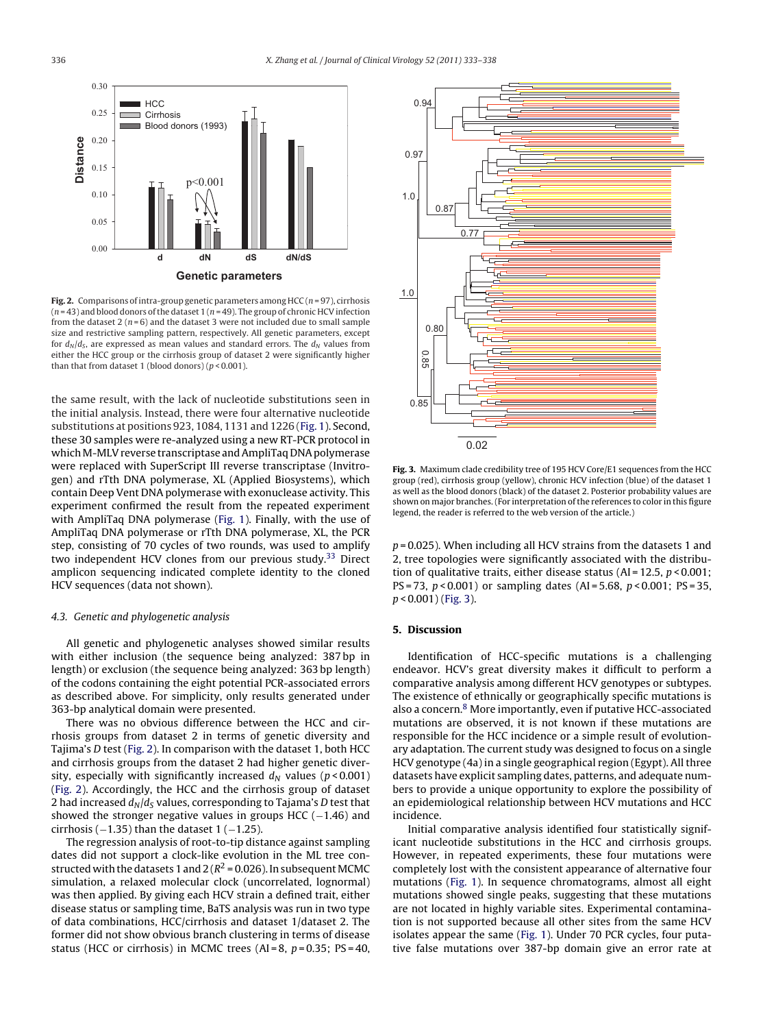<span id="page-3-0"></span>

**Fig. 2.** Comparisons of intra-group genetic parameters among  $HCC$  ( $n = 97$ ), cirrhosis  $(n = 43)$  and blood donors of the dataset 1  $(n = 49)$ . The group of chronic HCV infection from the dataset 2 ( $n = 6$ ) and the dataset 3 were not included due to small sample size and restrictive sampling pattern, respectively. All genetic parameters, except for  $d_N/d_S$ , are expressed as mean values and standard errors. The  $d_N$  values from either the HCC group or the cirrhosis group of dataset 2 were significantly higher than that from dataset 1 (blood donors)  $(p < 0.001)$ .

the same result, with the lack of nucleotide substitutions seen in the initial analysis. Instead, there were four alternative nucleotide substitutions at positions 923, 1084, 1131 and 1226 [\(Fig.](#page-2-0) 1). Second, these 30 samples were re-analyzed using a new RT-PCR protocol in which M-MLV reverse transcriptase and AmpliTaq DNA polymerase were replaced with SuperScript III reverse transcriptase (Invitrogen) and rTth DNA polymerase, XL (Applied Biosystems), which contain Deep Vent DNA polymerase with exonuclease activity. This experiment confirmed the result from the repeated experiment with AmpliTaq DNA polymerase ([Fig.](#page-2-0) 1). Finally, with the use of AmpliTaq DNA polymerase or rTth DNA polymerase, XL, the PCR step, consisting of 70 cycles of two rounds, was used to amplify two independent HCV clones from our previous study.<sup>[33](#page-5-0)</sup> Direct amplicon sequencing indicated complete identity to the cloned HCV sequences (data not shown).

## 4.3. Genetic and phylogenetic analysis

All genetic and phylogenetic analyses showed similar results with either inclusion (the sequence being analyzed: 387 bp in length) or exclusion (the sequence being analyzed: 363 bp length) of the codons containing the eight potential PCR-associated errors as described above. For simplicity, only results generated under 363-bp analytical domain were presented.

There was no obvious difference between the HCC and cirrhosis groups from dataset 2 in terms of genetic diversity and Tajima's D test (Fig. 2). In comparison with the dataset 1, both HCC and cirrhosis groups from the dataset 2 had higher genetic diversity, especially with significantly increased  $d_N$  values ( $p < 0.001$ ) (Fig. 2). Accordingly, the HCC and the cirrhosis group of dataset 2 had increased  $d_N/d_S$  values, corresponding to Tajama's D test that showed the stronger negative values in groups HCC (-1.46) and cirrhosis ( $-1.35$ ) than the dataset 1 ( $-1.25$ ).

The regression analysis of root-to-tip distance against sampling dates did not support a clock-like evolution in the ML tree constructed with the datasets 1 and  $2 (R^2 = 0.026)$ . In subsequent MCMC simulation, a relaxed molecular clock (uncorrelated, lognormal) was then applied. By giving each HCV strain a defined trait, either disease status or sampling time, BaTS analysis was run in two type of data combinations, HCC/cirrhosis and dataset 1/dataset 2. The former did not show obvious branch clustering in terms of disease status (HCC or cirrhosis) in MCMC trees (AI = 8,  $p = 0.35$ ; PS = 40,



**Fig. 3.** Maximum clade credibility tree of 195 HCV Core/E1 sequences from the HCC group (red), cirrhosis group (yellow), chronic HCV infection (blue) of the dataset 1 as well as the blood donors (black) of the dataset 2. Posterior probability values are shown on major branches. (For interpretation of the references to color in this figure legend, the reader is referred to the web version of the article.)

 $p = 0.025$ ). When including all HCV strains from the datasets 1 and 2, tree topologies were significantly associated with the distribution of qualitative traits, either disease status (AI = 12.5,  $p < 0.001$ ; PS = 73,  $p$  < 0.001) or sampling dates (AI = 5.68,  $p$  < 0.001; PS = 35,  $p < 0.001$ ) (Fig. 3).

## **5. Discussion**

Identification of HCC-specific mutations is a challenging endeavor. HCV's great diversity makes it difficult to perform a comparative analysis among different HCV genotypes or subtypes. The existence of ethnically or geographically specific mutations is also a concern.<sup>[8](#page-4-0)</sup> More importantly, even if putative HCC-associated mutations are observed, it is not known if these mutations are responsible for the HCC incidence or a simple result of evolutionary adaptation. The current study was designed to focus on a single HCV genotype (4a) in a single geographical region (Egypt). All three datasets have explicit sampling dates, patterns, and adequate numbers to provide a unique opportunity to explore the possibility of an epidemiological relationship between HCV mutations and HCC incidence.

Initial comparative analysis identified four statistically significant nucleotide substitutions in the HCC and cirrhosis groups. However, in repeated experiments, these four mutations were completely lost with the consistent appearance of alternative four mutations ([Fig.](#page-2-0) 1). In sequence chromatograms, almost all eight mutations showed single peaks, suggesting that these mutations are not located in highly variable sites. Experimental contamination is not supported because all other sites from the same HCV isolates appear the same [\(Fig.](#page-2-0) 1). Under 70 PCR cycles, four putative false mutations over 387-bp domain give an error rate at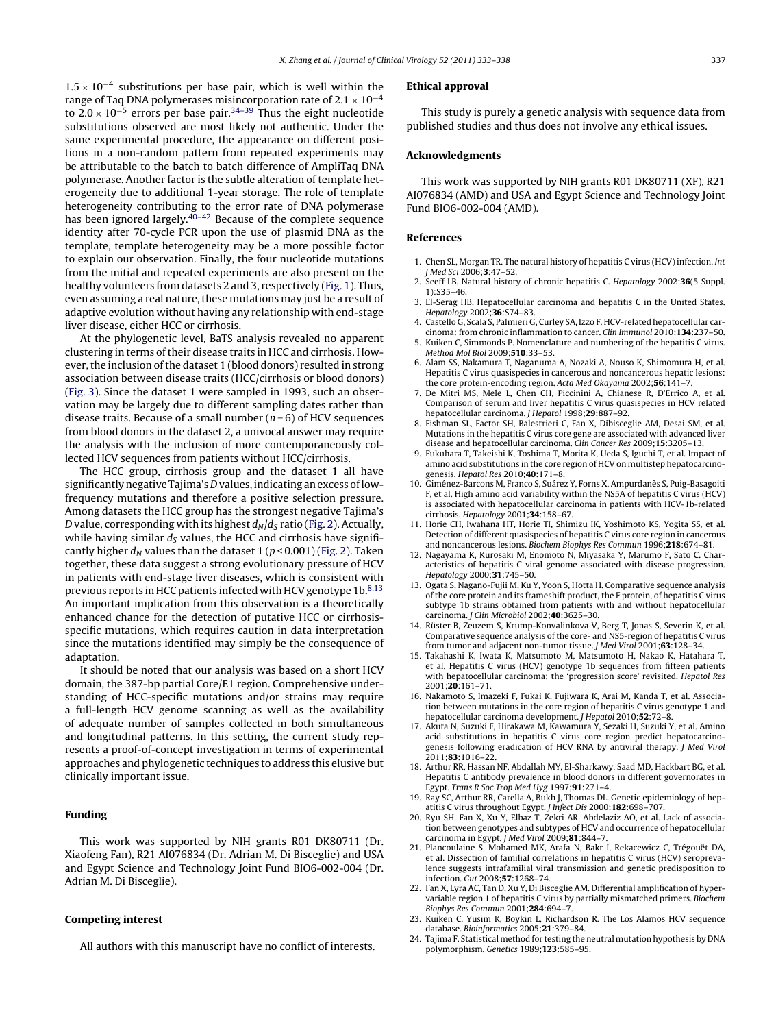<span id="page-4-0"></span>1.5 × 10<sup>-4</sup> substitutions per base pair, which is well within the range of Taq DNA polymerases misincorporation rate of  $2.1 \times 10^{-4}$ to  $2.0 \times 10^{-5}$  errors per base pair.<sup>[34–39](#page-5-0)</sup> Thus the eight nucleotide substitutions observed are most likely not authentic. Under the same experimental procedure, the appearance on different positions in a non-random pattern from repeated experiments may be attributable to the batch to batch difference of AmpliTaq DNA polymerase. Another factor is the subtle alteration of template heterogeneity due to additional 1-year storage. The role of template heterogeneity contributing to the error rate of DNA polymerase has been ignored largely. $40-42$  Because of the complete sequence identity after 70-cycle PCR upon the use of plasmid DNA as the template, template heterogeneity may be a more possible factor to explain our observation. Finally, the four nucleotide mutations from the initial and repeated experiments are also present on the healthy volunteers from datasets 2 and 3, respectively [\(Fig.](#page-2-0) 1). Thus, even assuming a real nature, these mutations may just be a result of adaptive evolution without having any relationship with end-stage liver disease, either HCC or cirrhosis.

At the phylogenetic level, BaTS analysis revealed no apparent clustering in terms of their disease traits in HCC and cirrhosis. However, the inclusion of the dataset 1 (blood donors) resulted in strong association between disease traits (HCC/cirrhosis or blood donors) ([Fig.](#page-3-0) 3). Since the dataset 1 were sampled in 1993, such an observation may be largely due to different sampling dates rather than disease traits. Because of a small number  $(n=6)$  of HCV sequences from blood donors in the dataset 2, a univocal answer may require the analysis with the inclusion of more contemporaneously collected HCV sequences from patients without HCC/cirrhosis.

The HCC group, cirrhosis group and the dataset 1 all have significantly negative Tajima's D values, indicating an excess of lowfrequency mutations and therefore a positive selection pressure. Among datasets the HCC group has the strongest negative Tajima's D value, corresponding with its highest  $d_N/d_S$  ratio [\(Fig.](#page-3-0) 2). Actually, while having similar  $d<sub>S</sub>$  values, the HCC and cirrhosis have significantly higher  $d_N$  values than the dataset 1 ( $p < 0.001$ ) ([Fig.](#page-3-0) 2). Taken together, these data suggest a strong evolutionary pressure of HCV in patients with end-stage liver diseases, which is consistent with previous reports in HCC patients infected with HCV genotype  $1b$ .<sup>8,13</sup> An important implication from this observation is a theoretically enhanced chance for the detection of putative HCC or cirrhosisspecific mutations, which requires caution in data interpretation since the mutations identified may simply be the consequence of adaptation.

It should be noted that our analysis was based on a short HCV domain, the 387-bp partial Core/E1 region. Comprehensive understanding of HCC-specific mutations and/or strains may require a full-length HCV genome scanning as well as the availability of adequate number of samples collected in both simultaneous and longitudinal patterns. In this setting, the current study represents a proof-of-concept investigation in terms of experimental approaches and phylogenetic techniques to address this elusive but clinically important issue.

## **Funding**

This work was supported by NIH grants R01 DK80711 (Dr. Xiaofeng Fan), R21 AI076834 (Dr. Adrian M. Di Bisceglie) and USA and Egypt Science and Technology Joint Fund BIO6-002-004 (Dr. Adrian M. Di Bisceglie).

## **Competing interest**

All authors with this manuscript have no conflict of interests.

#### **Ethical approval**

This study is purely a genetic analysis with sequence data from published studies and thus does not involve any ethical issues.

## **Acknowledgments**

This work was supported by NIH grants R01 DK80711 (XF), R21 AI076834 (AMD) and USA and Egypt Science and Technology Joint Fund BIO6-002-004 (AMD).

## **References**

- 1. Chen SL, Morgan TR. The natural history of hepatitis C virus (HCV) infection. Int J Med Sci 2006;**3**:47–52.
- 2. Seeff LB. Natural history of chronic hepatitis C. Hepatology 2002;**36**(5 Suppl. 1):S35–46.
- 3. El-Serag HB. Hepatocellular carcinoma and hepatitis C in the United States. Hepatology 2002;**36**:S74–83.
- 4. Castello G, Scala S, Palmieri G, Curley SA, Izzo F. HCV-related hepatocellular carcinoma: from chronic inflammation to cancer. Clin Immunol 2010;**134**:237–50.
- 5. Kuiken C, Simmonds P. Nomenclature and numbering of the hepatitis C virus. Method Mol Biol 2009;**510**:33–53.
- 6. Alam SS, Nakamura T, Naganuma A, Nozaki A, Nouso K, Shimomura H, et al. Hepatitis C virus quasispecies in cancerous and noncancerous hepatic lesions: the core protein-encoding region. Acta Med Okayama 2002;**56**:141–7.
- 7. De Mitri MS, Mele L, Chen CH, Piccinini A, Chianese R, D'Errico A, et al. Comparison of serum and liver hepatitis C virus quasispecies in HCV related hepatocellular carcinoma. J Hepatol 1998;**29**:887–92.
- 8. Fishman SL, Factor SH, Balestrieri C, Fan X, Dibisceglie AM, Desai SM, et al. Mutations in the hepatitis C virus core gene are associated with advanced liver disease and hepatocellular carcinoma. Clin Cancer Res 2009;**15**:3205–13.
- 9. Fukuhara T, Takeishi K, Toshima T, Morita K, Ueda S, Iguchi T, et al. Impact of amino acid substitutions in the core region of HCV on multistep hepatocarcinogenesis. Hepatol Res 2010;**40**:171–8.
- 10. Giménez-Barcons M, Franco S, Suárez Y, Forns X, Ampurdanès S, Puig-Basagoiti F, et al. High amino acid variability within the NS5A of hepatitis C virus (HCV) is associated with hepatocellular carcinoma in patients with HCV-1b-related cirrhosis. Hepatology 2001;**34**:158–67.
- 11. Horie CH, Iwahana HT, Horie TI, Shimizu IK, Yoshimoto KS, Yogita SS, et al. Detection of different quasispecies of hepatitis C virus core region in cancerous and noncancerous lesions. Biochem Biophys Res Commun 1996;**218**:674–81.
- 12. Nagayama K, Kurosaki M, Enomoto N, Miyasaka Y, Marumo F, Sato C. Characteristics of hepatitis C viral genome associated with disease progression. Hepatology 2000;**31**:745–50.
- 13. Ogata S, Nagano-Fujii M, Ku Y, Yoon S, Hotta H. Comparative sequence analysis of the core protein and its frameshift product, the F protein, of hepatitis C virus subtype 1b strains obtained from patients with and without hepatocellular carcinoma. J Clin Microbiol 2002;**40**:3625–30.
- 14. Rüster B, Zeuzem S, Krump-Konvalinkova V, Berg T, Jonas S, Severin K, et al. Comparative sequence analysis of the core- and NS5-region of hepatitis C virus from tumor and adjacent non-tumor tissue. J Med Virol 2001;**63**:128–34.
- 15. Takahashi K, Iwata K, Matsumoto M, Matsumoto H, Nakao K, Hatahara T, et al. Hepatitis C virus (HCV) genotype 1b sequences from fifteen patients with hepatocellular carcinoma: the 'progression score' revisited. Hepatol Res 2001;**20**:161–71.
- 16. Nakamoto S, Imazeki F, Fukai K, Fujiwara K, Arai M, Kanda T, et al. Association between mutations in the core region of hepatitis C virus genotype 1 and hepatocellular carcinoma development. J Hepatol 2010;**52**:72–8.
- 17. Akuta N, Suzuki F, Hirakawa M, Kawamura Y, Sezaki H, Suzuki Y, et al. Amino acid substitutions in hepatitis C virus core region predict hepatocarcinogenesis following eradication of HCV RNA by antiviral therapy. J Med Virol 2011;**83**:1016–22.
- 18. Arthur RR, Hassan NF, Abdallah MY, El-Sharkawy, Saad MD, Hackbart BG, et al. Hepatitis C antibody prevalence in blood donors in different governorates in Egypt. Trans R Soc Trop Med Hyg 1997;**91**:271–4.
- 19. Ray SC, Arthur RR, Carella A, Bukh J, Thomas DL. Genetic epidemiology of hepatitis C virus throughout Egypt. J Infect Dis 2000;**182**:698–707.
- 20. Ryu SH, Fan X, Xu Y, Elbaz T, Zekri AR, Abdelaziz AO, et al. Lack of association between genotypes and subtypes of HCV and occurrence of hepatocellular carcinoma in Egypt. J Med Virol 2009;**81**:844–7.
- 21. Plancoulaine S, Mohamed MK, Arafa N, Bakr I, Rekacewicz C, Trégouët DA, et al. Dissection of familial correlations in hepatitis C virus (HCV) seroprevalence suggests intrafamilial viral transmission and genetic predisposition to infection. Gut 2008;**57**:1268–74.
- 22. Fan X, Lyra AC, Tan D, Xu Y, Di Bisceglie AM. Differential amplification of hypervariable region 1 of hepatitis C virus by partially mismatched primers. Biochem Biophys Res Commun 2001;**284**:694–7.
- 23. Kuiken C, Yusim K, Boykin L, Richardson R. The Los Alamos HCV sequence database. Bioinformatics 2005;**21**:379–84.
- 24. Tajima F. Statistical method for testing the neutral mutation hypothesis by DNA polymorphism. Genetics 1989;**123**:585–95.